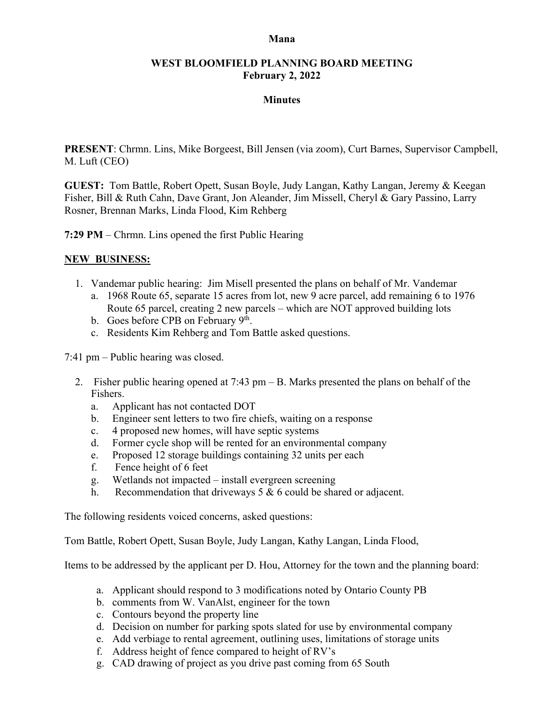#### **Mana**

## **WEST BLOOMFIELD PLANNING BOARD MEETING February 2, 2022**

## **Minutes**

**PRESENT**: Chrmn. Lins, Mike Borgeest, Bill Jensen (via zoom), Curt Barnes, Supervisor Campbell, M. Luft (CEO)

**GUEST:** Tom Battle, Robert Opett, Susan Boyle, Judy Langan, Kathy Langan, Jeremy & Keegan Fisher, Bill & Ruth Cahn, Dave Grant, Jon Aleander, Jim Missell, Cheryl & Gary Passino, Larry Rosner, Brennan Marks, Linda Flood, Kim Rehberg

**7:29 PM** – Chrmn. Lins opened the first Public Hearing

## **NEW BUSINESS:**

- 1. Vandemar public hearing: Jim Misell presented the plans on behalf of Mr. Vandemar
	- a. 1968 Route 65, separate 15 acres from lot, new 9 acre parcel, add remaining 6 to 1976 Route 65 parcel, creating 2 new parcels – which are NOT approved building lots
	- b. Goes before CPB on February 9<sup>th</sup>.
	- c. Residents Kim Rehberg and Tom Battle asked questions.

7:41 pm – Public hearing was closed.

- 2. Fisher public hearing opened at 7:43 pm B. Marks presented the plans on behalf of the Fishers.
	- a. Applicant has not contacted DOT
	- b. Engineer sent letters to two fire chiefs, waiting on a response
	- c. 4 proposed new homes, will have septic systems
	- d. Former cycle shop will be rented for an environmental company
	- e. Proposed 12 storage buildings containing 32 units per each
	- f. Fence height of 6 feet
	- g. Wetlands not impacted install evergreen screening
	- h. Recommendation that driveways  $5 & 6$  could be shared or adjacent.

The following residents voiced concerns, asked questions:

Tom Battle, Robert Opett, Susan Boyle, Judy Langan, Kathy Langan, Linda Flood,

Items to be addressed by the applicant per D. Hou, Attorney for the town and the planning board:

- a. Applicant should respond to 3 modifications noted by Ontario County PB
- b. comments from W. VanAlst, engineer for the town
- c. Contours beyond the property line
- d. Decision on number for parking spots slated for use by environmental company
- e. Add verbiage to rental agreement, outlining uses, limitations of storage units
- f. Address height of fence compared to height of RV's
- g. CAD drawing of project as you drive past coming from 65 South